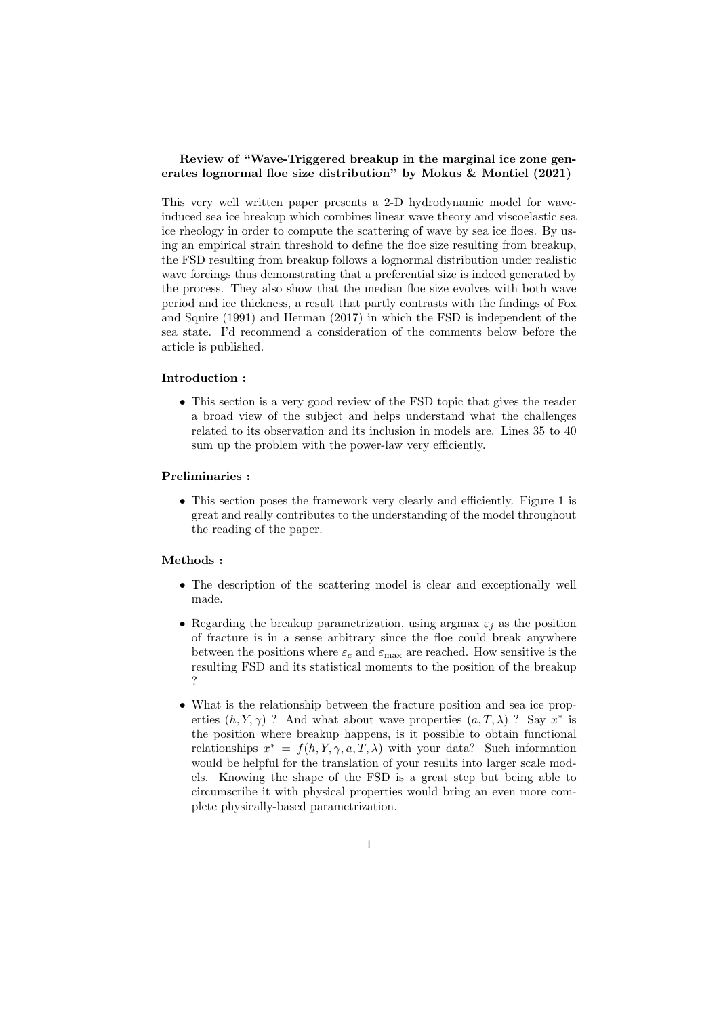## Review of "Wave-Triggered breakup in the marginal ice zone generates lognormal floe size distribution" by Mokus & Montiel (2021)

This very well written paper presents a 2-D hydrodynamic model for waveinduced sea ice breakup which combines linear wave theory and viscoelastic sea ice rheology in order to compute the scattering of wave by sea ice floes. By using an empirical strain threshold to define the floe size resulting from breakup, the FSD resulting from breakup follows a lognormal distribution under realistic wave forcings thus demonstrating that a preferential size is indeed generated by the process. They also show that the median floe size evolves with both wave period and ice thickness, a result that partly contrasts with the findings of Fox and Squire (1991) and Herman (2017) in which the FSD is independent of the sea state. I'd recommend a consideration of the comments below before the article is published.

### Introduction :

• This section is a very good review of the FSD topic that gives the reader a broad view of the subject and helps understand what the challenges related to its observation and its inclusion in models are. Lines 35 to 40 sum up the problem with the power-law very efficiently.

#### Preliminaries :

• This section poses the framework very clearly and efficiently. Figure 1 is great and really contributes to the understanding of the model throughout the reading of the paper.

## Methods :

- The description of the scattering model is clear and exceptionally well made.
- Regarding the breakup parametrization, using argmax  $\varepsilon_j$  as the position of fracture is in a sense arbitrary since the floe could break anywhere between the positions where  $\varepsilon_c$  and  $\varepsilon_{\text{max}}$  are reached. How sensitive is the resulting FSD and its statistical moments to the position of the breakup ?
- What is the relationship between the fracture position and sea ice properties  $(h, Y, \gamma)$  ? And what about wave properties  $(a, T, \lambda)$  ? Say  $x^*$  is the position where breakup happens, is it possible to obtain functional relationships  $x^* = f(h, Y, \gamma, a, T, \lambda)$  with your data? Such information would be helpful for the translation of your results into larger scale models. Knowing the shape of the FSD is a great step but being able to circumscribe it with physical properties would bring an even more complete physically-based parametrization.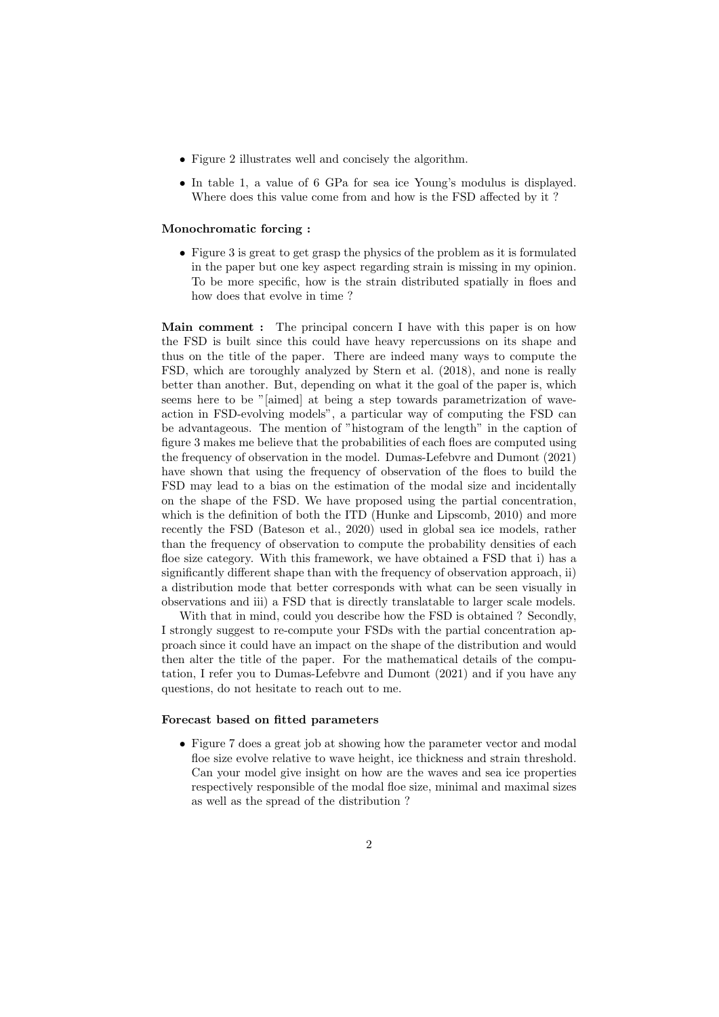- Figure 2 illustrates well and concisely the algorithm.
- In table 1, a value of 6 GPa for sea ice Young's modulus is displayed. Where does this value come from and how is the FSD affected by it ?

#### Monochromatic forcing :

• Figure 3 is great to get grasp the physics of the problem as it is formulated in the paper but one key aspect regarding strain is missing in my opinion. To be more specific, how is the strain distributed spatially in floes and how does that evolve in time ?

Main comment : The principal concern I have with this paper is on how the FSD is built since this could have heavy repercussions on its shape and thus on the title of the paper. There are indeed many ways to compute the FSD, which are toroughly analyzed by Stern et al. (2018), and none is really better than another. But, depending on what it the goal of the paper is, which seems here to be "[aimed] at being a step towards parametrization of waveaction in FSD-evolving models", a particular way of computing the FSD can be advantageous. The mention of "histogram of the length" in the caption of figure 3 makes me believe that the probabilities of each floes are computed using the frequency of observation in the model. Dumas-Lefebvre and Dumont (2021) have shown that using the frequency of observation of the floes to build the FSD may lead to a bias on the estimation of the modal size and incidentally on the shape of the FSD. We have proposed using the partial concentration, which is the definition of both the ITD (Hunke and Lipscomb, 2010) and more recently the FSD (Bateson et al., 2020) used in global sea ice models, rather than the frequency of observation to compute the probability densities of each floe size category. With this framework, we have obtained a FSD that i) has a significantly different shape than with the frequency of observation approach, ii) a distribution mode that better corresponds with what can be seen visually in observations and iii) a FSD that is directly translatable to larger scale models.

With that in mind, could you describe how the FSD is obtained? Secondly, I strongly suggest to re-compute your FSDs with the partial concentration approach since it could have an impact on the shape of the distribution and would then alter the title of the paper. For the mathematical details of the computation, I refer you to Dumas-Lefebvre and Dumont (2021) and if you have any questions, do not hesitate to reach out to me.

#### Forecast based on fitted parameters

• Figure 7 does a great job at showing how the parameter vector and modal floe size evolve relative to wave height, ice thickness and strain threshold. Can your model give insight on how are the waves and sea ice properties respectively responsible of the modal floe size, minimal and maximal sizes as well as the spread of the distribution ?